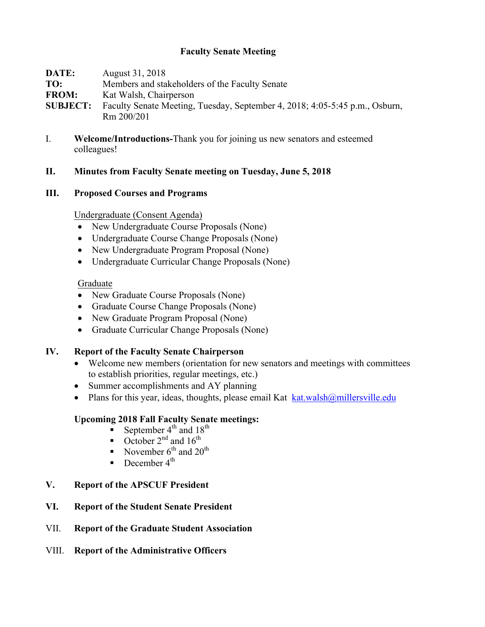# **Faculty Senate Meeting**

**DATE:** August 31, 2018 **TO:** Members and stakeholders of the Faculty Senate **FROM:** Kat Walsh, Chairperson **SUBJECT:** Faculty Senate Meeting, Tuesday, September 4, 2018; 4:05-5:45 p.m., Osburn, Rm 200/201

I. **Welcome/Introductions-**Thank you for joining us new senators and esteemed colleagues!

## **II. Minutes from Faculty Senate meeting on Tuesday, June 5, 2018**

### **III. Proposed Courses and Programs**

Undergraduate (Consent Agenda)

- New Undergraduate Course Proposals (None)
- Undergraduate Course Change Proposals (None)
- New Undergraduate Program Proposal (None)
- Undergraduate Curricular Change Proposals (None)

### Graduate

- New Graduate Course Proposals (None)
- Graduate Course Change Proposals (None)
- New Graduate Program Proposal (None)
- Graduate Curricular Change Proposals (None)

## **IV. Report of the Faculty Senate Chairperson**

- Welcome new members (orientation for new senators and meetings with committees to establish priorities, regular meetings, etc.)
- Summer accomplishments and AY planning
- Plans for this year, ideas, thoughts, please email Kat  $k$ at.walsh $@$ millersville.edu

## **Upcoming 2018 Fall Faculty Senate meetings:**

- September  $4^{\text{th}}$  and  $18^{\text{th}}$
- October  $2^{nd}$  and  $16^{th}$ <br>• November  $6^{th}$  and  $20$
- November  $6^{th}$  and  $20^{th}$
- **•** December  $4^{\text{th}}$

# **V. Report of the APSCUF President**

- **VI. Report of the Student Senate President**
- VII. **Report of the Graduate Student Association**
- VIII. **Report of the Administrative Officers**